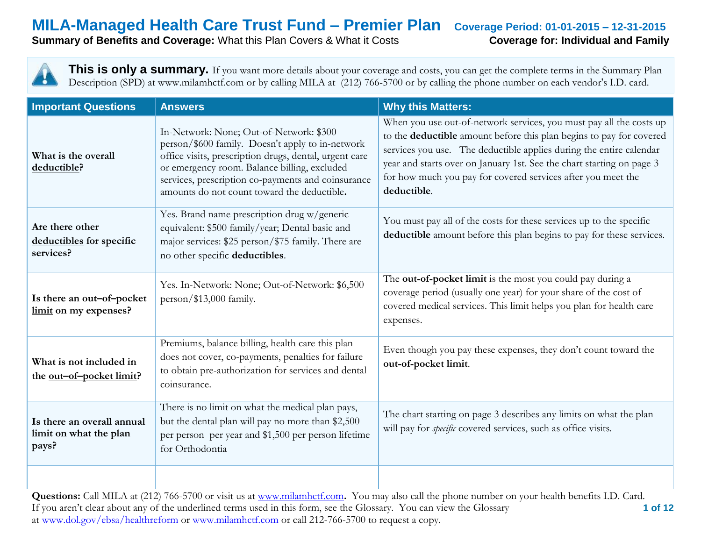**Summary of Benefits and Coverage:** What this Plan Covers & What it Costs **Coverage for: Individual and Family** 

**This is only a summary.** If you want more details about your coverage and costs, you can get the complete terms in the Summary Plan Description (SPD) at www.milamhctf.com or by calling MILA at (212) 766-5700 or by calling the phone number on each vendor's I.D. card.

| <b>Important Questions</b>                                    | <b>Answers</b>                                                                                                                                                                                                                                                                                             | <b>Why this Matters:</b>                                                                                                                                                                                                                                                                                                                                                  |
|---------------------------------------------------------------|------------------------------------------------------------------------------------------------------------------------------------------------------------------------------------------------------------------------------------------------------------------------------------------------------------|---------------------------------------------------------------------------------------------------------------------------------------------------------------------------------------------------------------------------------------------------------------------------------------------------------------------------------------------------------------------------|
| What is the overall<br>deductible?                            | In-Network: None; Out-of-Network: \$300<br>person/\$600 family. Doesn't apply to in-network<br>office visits, prescription drugs, dental, urgent care<br>or emergency room. Balance billing, excluded<br>services, prescription co-payments and coinsurance<br>amounts do not count toward the deductible. | When you use out-of-network services, you must pay all the costs up<br>to the deductible amount before this plan begins to pay for covered<br>services you use. The deductible applies during the entire calendar<br>year and starts over on January 1st. See the chart starting on page 3<br>for how much you pay for covered services after you meet the<br>deductible. |
| Are there other<br>deductibles for specific<br>services?      | Yes. Brand name prescription drug w/generic<br>equivalent: \$500 family/year; Dental basic and<br>major services: \$25 person/\$75 family. There are<br>no other specific deductibles.                                                                                                                     | You must pay all of the costs for these services up to the specific<br>deductible amount before this plan begins to pay for these services.                                                                                                                                                                                                                               |
| Is there an out-of-pocket<br>limit on my expenses?            | Yes. In-Network: None; Out-of-Network: \$6,500<br>person/\$13,000 family.                                                                                                                                                                                                                                  | The out-of-pocket limit is the most you could pay during a<br>coverage period (usually one year) for your share of the cost of<br>covered medical services. This limit helps you plan for health care<br>expenses.                                                                                                                                                        |
| What is not included in<br>the <u>out-of-pocket limit</u> ?   | Premiums, balance billing, health care this plan<br>does not cover, co-payments, penalties for failure<br>to obtain pre-authorization for services and dental<br>coinsurance.                                                                                                                              | Even though you pay these expenses, they don't count toward the<br>out-of-pocket limit.                                                                                                                                                                                                                                                                                   |
| Is there an overall annual<br>limit on what the plan<br>pays? | There is no limit on what the medical plan pays,<br>but the dental plan will pay no more than \$2,500<br>per person per year and \$1,500 per person lifetime<br>for Orthodontia                                                                                                                            | The chart starting on page 3 describes any limits on what the plan<br>will pay for <i>specific</i> covered services, such as office visits.                                                                                                                                                                                                                               |
|                                                               |                                                                                                                                                                                                                                                                                                            |                                                                                                                                                                                                                                                                                                                                                                           |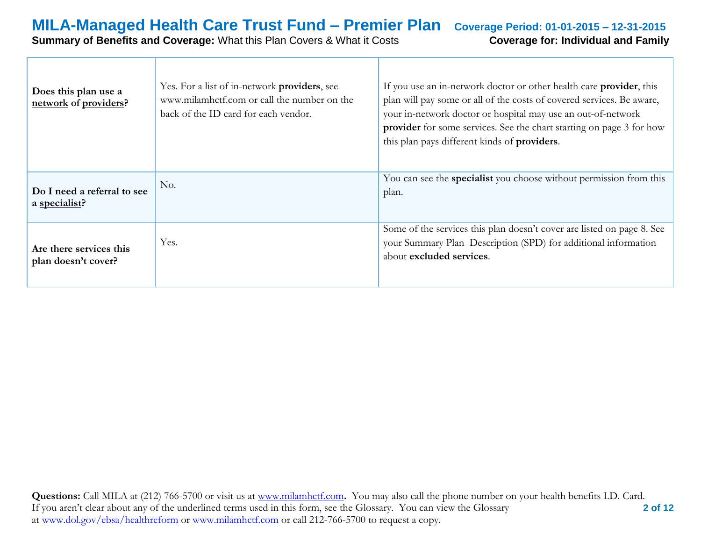### **MILA-Managed Health Care Trust Fund – Premier Plan Coverage Period: 01-01-2015 – 12-31-2015 Summary of Benefits and Coverage:** What this Plan Covers & What it Costs **Coverage for: Individual and Family**

| Does this plan use a<br>network of providers?  | Yes. For a list of in-network <b>providers</b> , see<br>www.milamhctf.com or call the number on the<br>back of the ID card for each vendor. | If you use an in-network doctor or other health care <b>provider</b> , this<br>plan will pay some or all of the costs of covered services. Be aware,<br>your in-network doctor or hospital may use an out-of-network<br>provider for some services. See the chart starting on page 3 for how<br>this plan pays different kinds of providers. |
|------------------------------------------------|---------------------------------------------------------------------------------------------------------------------------------------------|----------------------------------------------------------------------------------------------------------------------------------------------------------------------------------------------------------------------------------------------------------------------------------------------------------------------------------------------|
| Do I need a referral to see<br>a specialist?   | No.                                                                                                                                         | You can see the specialist you choose without permission from this<br>plan.                                                                                                                                                                                                                                                                  |
| Are there services this<br>plan doesn't cover? | Yes.                                                                                                                                        | Some of the services this plan doesn't cover are listed on page 8. See<br>your Summary Plan Description (SPD) for additional information<br>about excluded services.                                                                                                                                                                         |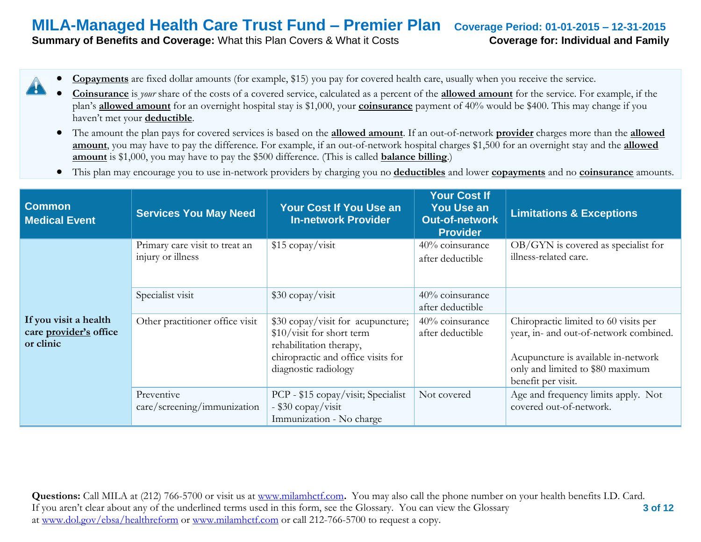**Summary of Benefits and Coverage:** What this Plan Covers & What it Costs **Coverage for: Individual and Family** 

- **Copayments** are fixed dollar amounts (for example, \$15) you pay for covered health care, usually when you receive the service.
- **Coinsurance** is *your* share of the costs of a covered service, calculated as a percent of the **allowed amount** for the service. For example, if the plan's **allowed amount** for an overnight hospital stay is \$1,000, your **coinsurance** payment of 40% would be \$400. This may change if you haven't met your **deductible**.
- The amount the plan pays for covered services is based on the **allowed amount**. If an out-of-network **provider** charges more than the **allowed amount**, you may have to pay the difference. For example, if an out-of-network hospital charges \$1,500 for an overnight stay and the **allowed amount** is \$1,000, you may have to pay the \$500 difference. (This is called **balance billing**.)
- This plan may encourage you to use in-network providers by charging you no **deductibles** and lower **copayments** and no **coinsurance** amounts.

| <b>Common</b><br><b>Medical Event</b>                        | <b>Services You May Need</b>                        | Your Cost If You Use an<br><b>In-network Provider</b>                                                                                                   | <b>Your Cost If</b><br><b>You Use an</b><br><b>Out-of-network</b><br><b>Provider</b> | <b>Limitations &amp; Exceptions</b>                                                                                                                                              |
|--------------------------------------------------------------|-----------------------------------------------------|---------------------------------------------------------------------------------------------------------------------------------------------------------|--------------------------------------------------------------------------------------|----------------------------------------------------------------------------------------------------------------------------------------------------------------------------------|
|                                                              | Primary care visit to treat an<br>injury or illness | \$15 copay/visit                                                                                                                                        | 40% coinsurance<br>after deductible                                                  | $OB/GYN$ is covered as specialist for<br>illness-related care.                                                                                                                   |
|                                                              | Specialist visit                                    | $$30$ copay/visit                                                                                                                                       | 40% coinsurance<br>after deductible                                                  |                                                                                                                                                                                  |
| If you visit a health<br>care provider's office<br>or clinic | Other practitioner office visit                     | \$30 copay/visit for acupuncture;<br>\$10/visit for short term<br>rehabilitation therapy,<br>chiropractic and office visits for<br>diagnostic radiology | 40% coinsurance<br>after deductible                                                  | Chiropractic limited to 60 visits per<br>year, in- and out-of-network combined.<br>Acupuncture is available in-network<br>only and limited to \$80 maximum<br>benefit per visit. |
|                                                              | Preventive<br>care/screening/immunization           | PCP - \$15 copay/visit; Specialist<br>- \$30 copay/visit<br>Immunization - No charge                                                                    | Not covered                                                                          | Age and frequency limits apply. Not<br>covered out-of-network.                                                                                                                   |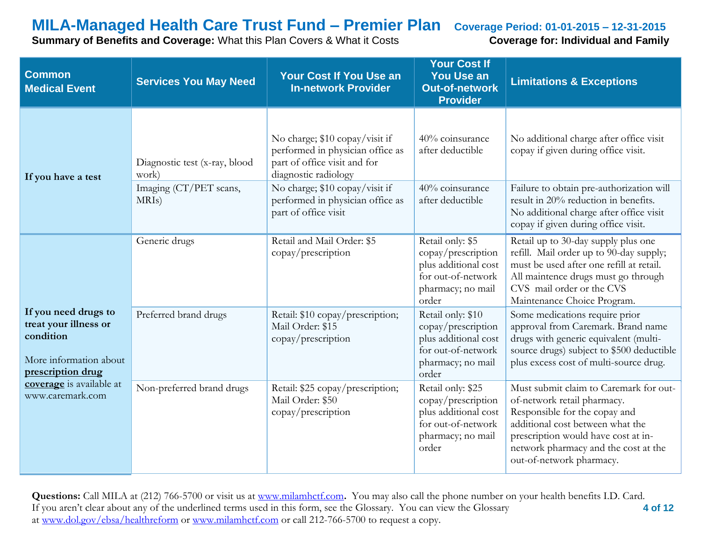**Summary of Benefits and Coverage:** What this Plan Covers & What it Costs **Coverage for: Individual and Family** 

| <b>Common</b><br><b>Medical Event</b>                                                                     | <b>Services You May Need</b>                 | <b>Your Cost If You Use an</b><br><b>In-network Provider</b>                                                               | <b>Your Cost If</b><br><b>You Use an</b><br><b>Out-of-network</b><br><b>Provider</b>                                | <b>Limitations &amp; Exceptions</b>                                                                                                                                                                                                                   |
|-----------------------------------------------------------------------------------------------------------|----------------------------------------------|----------------------------------------------------------------------------------------------------------------------------|---------------------------------------------------------------------------------------------------------------------|-------------------------------------------------------------------------------------------------------------------------------------------------------------------------------------------------------------------------------------------------------|
| If you have a test                                                                                        | Diagnostic test (x-ray, blood<br>work)       | No charge; \$10 copay/visit if<br>performed in physician office as<br>part of office visit and for<br>diagnostic radiology | 40% coinsurance<br>after deductible                                                                                 | No additional charge after office visit<br>copay if given during office visit.                                                                                                                                                                        |
|                                                                                                           | Imaging (CT/PET scans,<br>MRI <sub>s</sub> ) | No charge; \$10 copay/visit if<br>performed in physician office as<br>part of office visit                                 | 40% coinsurance<br>after deductible                                                                                 | Failure to obtain pre-authorization will<br>result in 20% reduction in benefits.<br>No additional charge after office visit<br>copay if given during office visit.                                                                                    |
|                                                                                                           | Generic drugs                                | Retail and Mail Order: \$5<br>copay/prescription                                                                           | Retail only: \$5<br>copay/prescription<br>plus additional cost<br>for out-of-network<br>pharmacy; no mail<br>order  | Retail up to 30-day supply plus one<br>refill. Mail order up to 90-day supply;<br>must be used after one refill at retail.<br>All maintence drugs must go through<br>CVS mail order or the CVS<br>Maintenance Choice Program.                         |
| If you need drugs to<br>treat your illness or<br>condition<br>More information about<br>prescription drug | Preferred brand drugs                        | Retail: \$10 copay/prescription;<br>Mail Order: \$15<br>copay/prescription                                                 | Retail only: \$10<br>copay/prescription<br>plus additional cost<br>for out-of-network<br>pharmacy; no mail<br>order | Some medications require prior<br>approval from Caremark. Brand name<br>drugs with generic equivalent (multi-<br>source drugs) subject to \$500 deductible<br>plus excess cost of multi-source drug.                                                  |
| coverage is available at<br>www.caremark.com                                                              | Non-preferred brand drugs                    | Retail: \$25 copay/prescription;<br>Mail Order: \$50<br>copay/prescription                                                 | Retail only: \$25<br>copay/prescription<br>plus additional cost<br>for out-of-network<br>pharmacy; no mail<br>order | Must submit claim to Caremark for out-<br>of-network retail pharmacy.<br>Responsible for the copay and<br>additional cost between what the<br>prescription would have cost at in-<br>network pharmacy and the cost at the<br>out-of-network pharmacy. |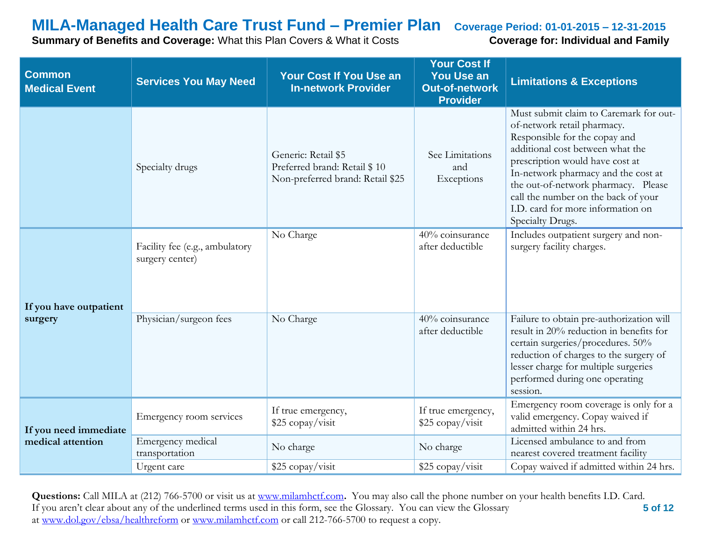**Summary of Benefits and Coverage:** What this Plan Covers & What it Costs **Coverage for: Individual and Family** 

| <b>Common</b><br><b>Medical Event</b> | <b>Services You May Need</b>                      | <b>Your Cost If You Use an</b><br><b>In-network Provider</b>                            | <b>Your Cost If</b><br><b>You Use an</b><br><b>Out-of-network</b><br><b>Provider</b> | <b>Limitations &amp; Exceptions</b>                                                                                                                                                                                                                                                                                                                         |
|---------------------------------------|---------------------------------------------------|-----------------------------------------------------------------------------------------|--------------------------------------------------------------------------------------|-------------------------------------------------------------------------------------------------------------------------------------------------------------------------------------------------------------------------------------------------------------------------------------------------------------------------------------------------------------|
|                                       | Specialty drugs                                   | Generic: Retail \$5<br>Preferred brand: Retail \$10<br>Non-preferred brand: Retail \$25 | See Limitations<br>and<br>Exceptions                                                 | Must submit claim to Caremark for out-<br>of-network retail pharmacy.<br>Responsible for the copay and<br>additional cost between what the<br>prescription would have cost at<br>In-network pharmacy and the cost at<br>the out-of-network pharmacy. Please<br>call the number on the back of your<br>I.D. card for more information on<br>Specialty Drugs. |
| If you have outpatient                | Facility fee (e.g., ambulatory<br>surgery center) | No Charge                                                                               | 40% coinsurance<br>after deductible                                                  | Includes outpatient surgery and non-<br>surgery facility charges.                                                                                                                                                                                                                                                                                           |
| surgery                               | Physician/surgeon fees                            | No Charge                                                                               | 40% coinsurance<br>after deductible                                                  | Failure to obtain pre-authorization will<br>result in 20% reduction in benefits for<br>certain surgeries/procedures. 50%<br>reduction of charges to the surgery of<br>lesser charge for multiple surgeries<br>performed during one operating<br>session.                                                                                                    |
| If you need immediate                 | Emergency room services                           | If true emergency,<br>\$25 copay/visit                                                  | If true emergency,<br>\$25 copay/visit                                               | Emergency room coverage is only for a<br>valid emergency. Copay waived if<br>admitted within 24 hrs.                                                                                                                                                                                                                                                        |
| medical attention                     | Emergency medical<br>transportation               | No charge                                                                               | No charge                                                                            | Licensed ambulance to and from<br>nearest covered treatment facility                                                                                                                                                                                                                                                                                        |
|                                       | Urgent care                                       | \$25 copay/visit                                                                        | \$25 copay/visit                                                                     | Copay waived if admitted within 24 hrs.                                                                                                                                                                                                                                                                                                                     |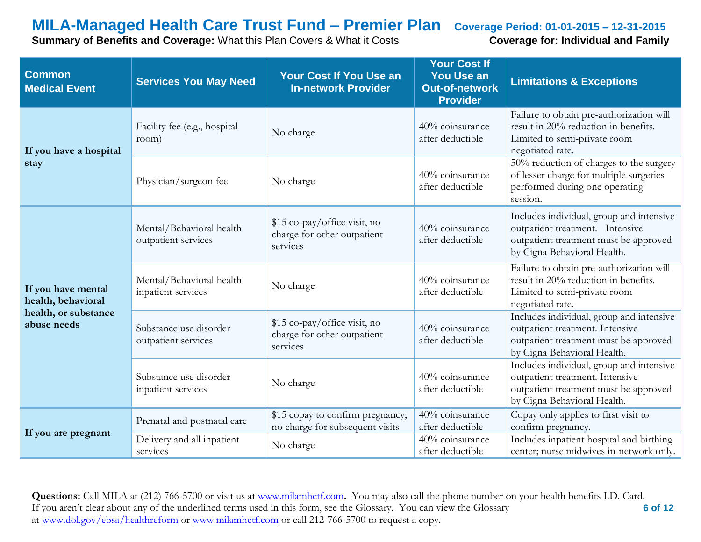**Summary of Benefits and Coverage:** What this Plan Covers & What it Costs **Coverage for: Individual and Family** 

| <b>Common</b><br><b>Medical Event</b>    | <b>Services You May Need</b>                    | <b>Your Cost If You Use an</b><br><b>In-network Provider</b>            | <b>Your Cost If</b><br><b>You Use an</b><br><b>Out-of-network</b><br><b>Provider</b> | <b>Limitations &amp; Exceptions</b>                                                                                                                 |
|------------------------------------------|-------------------------------------------------|-------------------------------------------------------------------------|--------------------------------------------------------------------------------------|-----------------------------------------------------------------------------------------------------------------------------------------------------|
| If you have a hospital                   | Facility fee (e.g., hospital<br>room)           | No charge                                                               | 40% coinsurance<br>after deductible                                                  | Failure to obtain pre-authorization will<br>result in 20% reduction in benefits.<br>Limited to semi-private room<br>negotiated rate.                |
| stay                                     | Physician/surgeon fee                           | No charge                                                               | 40% coinsurance<br>after deductible                                                  | 50% reduction of charges to the surgery<br>of lesser charge for multiple surgeries<br>performed during one operating<br>session.                    |
|                                          | Mental/Behavioral health<br>outpatient services | \$15 co-pay/office visit, no<br>charge for other outpatient<br>services | 40% coinsurance<br>after deductible                                                  | Includes individual, group and intensive<br>outpatient treatment. Intensive<br>outpatient treatment must be approved<br>by Cigna Behavioral Health. |
| If you have mental<br>health, behavioral | Mental/Behavioral health<br>inpatient services  | No charge                                                               | 40% coinsurance<br>after deductible                                                  | Failure to obtain pre-authorization will<br>result in 20% reduction in benefits.<br>Limited to semi-private room<br>negotiated rate.                |
| health, or substance<br>abuse needs      | Substance use disorder<br>outpatient services   | \$15 co-pay/office visit, no<br>charge for other outpatient<br>services | 40% coinsurance<br>after deductible                                                  | Includes individual, group and intensive<br>outpatient treatment. Intensive<br>outpatient treatment must be approved<br>by Cigna Behavioral Health. |
|                                          | Substance use disorder<br>inpatient services    | No charge                                                               | 40% coinsurance<br>after deductible                                                  | Includes individual, group and intensive<br>outpatient treatment. Intensive<br>outpatient treatment must be approved<br>by Cigna Behavioral Health. |
|                                          | Prenatal and postnatal care                     | \$15 copay to confirm pregnancy;<br>no charge for subsequent visits     | 40% coinsurance<br>after deductible                                                  | Copay only applies to first visit to<br>confirm pregnancy.                                                                                          |
| If you are pregnant                      | Delivery and all inpatient<br>services          | No charge                                                               | 40% coinsurance<br>after deductible                                                  | Includes inpatient hospital and birthing<br>center; nurse midwives in-network only.                                                                 |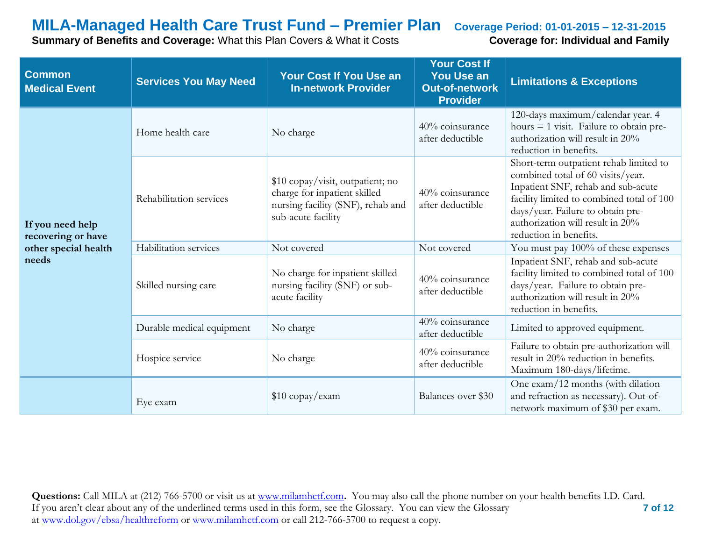**Summary of Benefits and Coverage:** What this Plan Covers & What it Costs **Coverage for: Individual and Family** 

| <b>Common</b><br><b>Medical Event</b>  | <b>Services You May Need</b> | <b>Your Cost If You Use an</b><br><b>In-network Provider</b>                                                                | <b>Your Cost If</b><br><b>You Use an</b><br><b>Out-of-network</b><br><b>Provider</b>                                                                                               | <b>Limitations &amp; Exceptions</b>                                                                                                                                                                                                                               |
|----------------------------------------|------------------------------|-----------------------------------------------------------------------------------------------------------------------------|------------------------------------------------------------------------------------------------------------------------------------------------------------------------------------|-------------------------------------------------------------------------------------------------------------------------------------------------------------------------------------------------------------------------------------------------------------------|
|                                        | Home health care             | No charge                                                                                                                   | 40% coinsurance<br>after deductible                                                                                                                                                | 120-days maximum/calendar year. 4<br>hours $=$ 1 visit. Failure to obtain pre-<br>authorization will result in 20%<br>reduction in benefits.                                                                                                                      |
| If you need help<br>recovering or have | Rehabilitation services      | \$10 copay/visit, outpatient; no<br>charge for inpatient skilled<br>nursing facility (SNF), rehab and<br>sub-acute facility | 40% coinsurance<br>after deductible                                                                                                                                                | Short-term outpatient rehab limited to<br>combined total of 60 visits/year.<br>Inpatient SNF, rehab and sub-acute<br>facility limited to combined total of 100<br>days/year. Failure to obtain pre-<br>authorization will result in 20%<br>reduction in benefits. |
| other special health                   | Habilitation services        | Not covered                                                                                                                 | Not covered                                                                                                                                                                        | You must pay 100% of these expenses                                                                                                                                                                                                                               |
| needs                                  | Skilled nursing care         | No charge for inpatient skilled<br>40% coinsurance<br>nursing facility (SNF) or sub-<br>after deductible<br>acute facility  | Inpatient SNF, rehab and sub-acute<br>facility limited to combined total of 100<br>days/year. Failure to obtain pre-<br>authorization will result in 20%<br>reduction in benefits. |                                                                                                                                                                                                                                                                   |
|                                        | Durable medical equipment    | No charge                                                                                                                   | 40% coinsurance<br>after deductible                                                                                                                                                | Limited to approved equipment.                                                                                                                                                                                                                                    |
|                                        | Hospice service              | No charge                                                                                                                   | 40% coinsurance<br>after deductible                                                                                                                                                | Failure to obtain pre-authorization will<br>result in 20% reduction in benefits.<br>Maximum 180-days/lifetime.                                                                                                                                                    |
|                                        | Eye exam                     | \$10 copay/exam                                                                                                             | Balances over \$30                                                                                                                                                                 | One exam/12 months (with dilation<br>and refraction as necessary). Out-of-<br>network maximum of \$30 per exam.                                                                                                                                                   |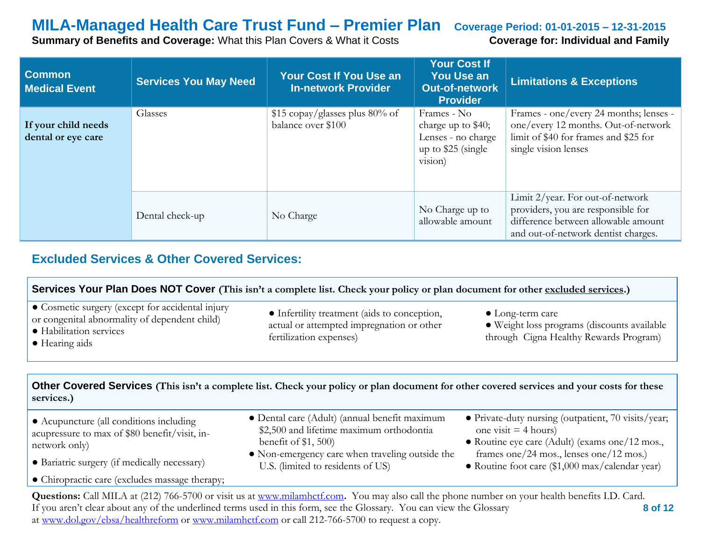**Summary of Benefits and Coverage:** What this Plan Covers & What it Costs **Coverage for: Individual and Family** 

| <b>Common</b><br><b>Medical Event</b>     | <b>Services You May Need</b> | <b>Your Cost If You Use an</b><br><b>In-network Provider</b> | <b>Your Cost If</b><br><b>You Use an</b><br><b>Out-of-network</b><br><b>Provider</b>      | <b>Limitations &amp; Exceptions</b>                                                                                                                  |
|-------------------------------------------|------------------------------|--------------------------------------------------------------|-------------------------------------------------------------------------------------------|------------------------------------------------------------------------------------------------------------------------------------------------------|
| If your child needs<br>dental or eye care | Glasses                      | \$15 copay/glasses plus 80% of<br>balance over \$100         | Frames - No<br>charge up to \$40;<br>Lenses - no charge<br>up to $$25$ (single<br>vision) | Frames - one/every 24 months; lenses -<br>one/every 12 months. Out-of-network<br>limit of \$40 for frames and \$25 for<br>single vision lenses       |
|                                           | Dental check-up              | No Charge                                                    | No Charge up to<br>allowable amount                                                       | Limit 2/year. For out-of-network<br>providers, you are responsible for<br>difference between allowable amount<br>and out-of-network dentist charges. |

### **Excluded Services & Other Covered Services:**

| Services Your Plan Does NOT Cover (This isn't a complete list. Check your policy or plan document for other excluded services.)                |                                                                                                                                            |                                                                                                                                 |  |  |  |
|------------------------------------------------------------------------------------------------------------------------------------------------|--------------------------------------------------------------------------------------------------------------------------------------------|---------------------------------------------------------------------------------------------------------------------------------|--|--|--|
| • Cosmetic surgery (except for accidental injury<br>or congenital abnormality of dependent child)<br>• Habilitation services<br>• Hearing aids | • Infertility treatment (aids to conception,<br>actual or attempted impregnation or other<br>fertilization expenses)                       | $\bullet$ Long-term care<br>· Weight loss programs (discounts available<br>through Cigna Healthy Rewards Program)               |  |  |  |
|                                                                                                                                                |                                                                                                                                            |                                                                                                                                 |  |  |  |
| services.)                                                                                                                                     | Other Covered Services (This isn't a complete list. Check your policy or plan document for other covered services and your costs for these |                                                                                                                                 |  |  |  |
| • Acupuncture (all conditions including<br>acupressure to max of \$80 benefit/visit, in-                                                       | • Dental care (Adult) (annual benefit maximum<br>\$2,500 and lifetime maximum orthodontia<br>benefit of $$1, 500$                          | • Private-duty nursing (outpatient, 70 visits/year;<br>one visit $=$ 4 hours)<br>• Routine eye care (Adult) (exams one/12 mos., |  |  |  |
| network only)                                                                                                                                  | • Non-emergency care when traveling outside the                                                                                            | frames one/24 mos., lenses one/12 mos.)                                                                                         |  |  |  |
| • Bariatric surgery (if medically necessary)                                                                                                   |                                                                                                                                            |                                                                                                                                 |  |  |  |
|                                                                                                                                                | U.S. (limited to residents of US)                                                                                                          | • Routine foot care (\$1,000 max/calendar year)                                                                                 |  |  |  |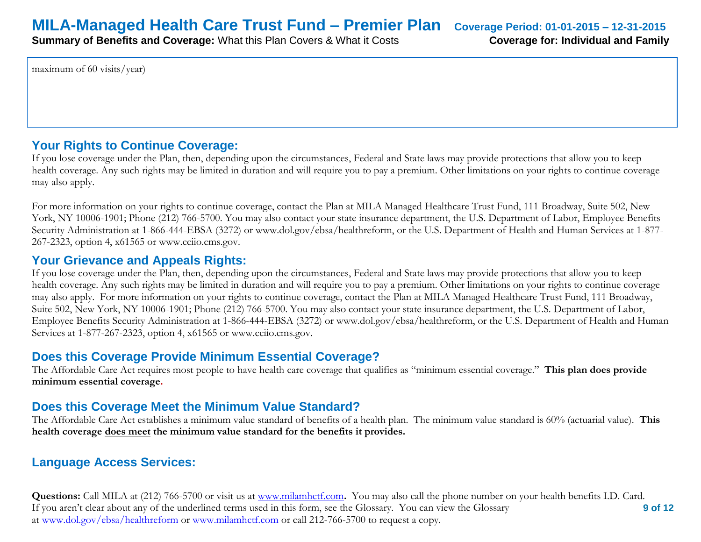maximum of 60 visits/year)

### **Your Rights to Continue Coverage:**

If you lose coverage under the Plan, then, depending upon the circumstances, Federal and State laws may provide protections that allow you to keep health coverage. Any such rights may be limited in duration and will require you to pay a premium. Other limitations on your rights to continue coverage may also apply.

For more information on your rights to continue coverage, contact the Plan at MILA Managed Healthcare Trust Fund, 111 Broadway, Suite 502, New York, NY 10006-1901; Phone (212) 766-5700. You may also contact your state insurance department, the U.S. Department of Labor, Employee Benefits Security Administration at 1-866-444-EBSA (3272) or www.dol.gov/ebsa/healthreform, or the U.S. Department of Health and Human Services at 1-877- 267-2323, option 4, x61565 or www.cciio.cms.gov.

### **Your Grievance and Appeals Rights:**

If you lose coverage under the Plan, then, depending upon the circumstances, Federal and State laws may provide protections that allow you to keep health coverage. Any such rights may be limited in duration and will require you to pay a premium. Other limitations on your rights to continue coverage may also apply. For more information on your rights to continue coverage, contact the Plan at MILA Managed Healthcare Trust Fund, 111 Broadway, Suite 502, New York, NY 10006-1901; Phone (212) 766-5700. You may also contact your state insurance department, the U.S. Department of Labor, Employee Benefits Security Administration at 1-866-444-EBSA (3272) or www.dol.gov/ebsa/healthreform, or the U.S. Department of Health and Human Services at 1-877-267-2323, option 4, x61565 or www.cciio.cms.gov.

### **Does this Coverage Provide Minimum Essential Coverage?**

The Affordable Care Act requires most people to have health care coverage that qualifies as "minimum essential coverage." **This plan does provide minimum essential coverage.** 

### **Does this Coverage Meet the Minimum Value Standard?**

The Affordable Care Act establishes a minimum value standard of benefits of a health plan. The minimum value standard is 60% (actuarial value). **This health coverage does meet the minimum value standard for the benefits it provides.** 

### **Language Access Services:**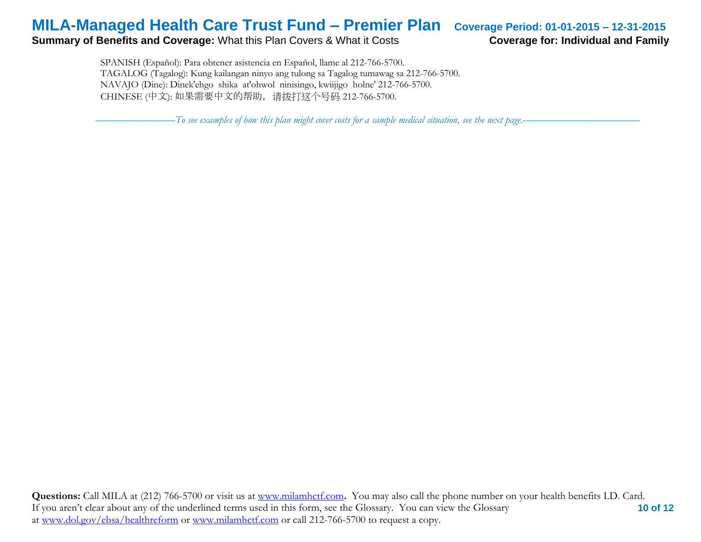#### **Summary of Benefits and Coverage:** What this Plan Covers & What it Costs **Coverage for: Individual and Family**

 SPANISH (Español): Para obtener asistencia en Español, llame al 212-766-5700. TAGALOG (Tagalog): Kung kailangan ninyo ang tulong sa Tagalog tumawag sa 212-766-5700. NAVAJO (Dine): Dinek'ehgo shika at'ohwol ninisingo, kwiijigo holne' 212-766-5700. CHINESE (中文): 如果需要中文的帮助,请拨打这个号码 212-766-5700.

–––––––––––––––*To see examples of how this plan might cover costs for a sample medical situation, see the next page.–––––––––––*–––––––––––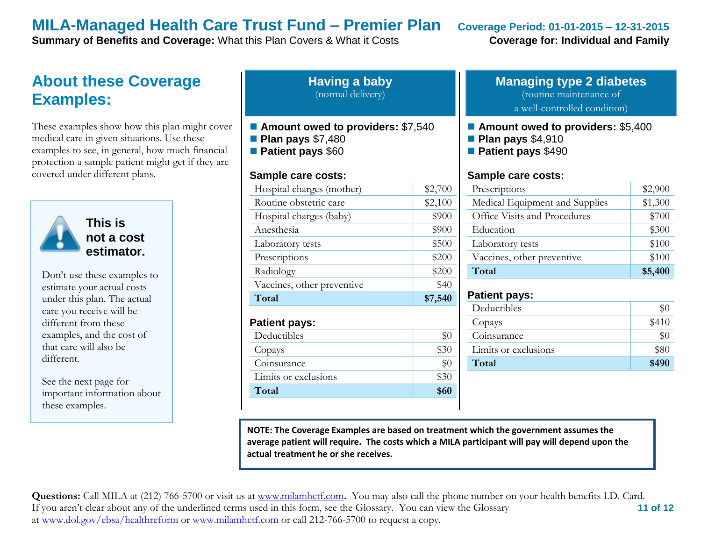**Summary of Benefits and Coverage:** What this Plan Covers & What it Costs **Coverage for: Individual and Family** 

### **About these Coverage Examples:**

These examples show how this plan might cover medical care in given situations. Use these examples to see, in general, how much financial protection a sample patient might get if they are covered under different plans.



**This is not a cost estimator.** 

Don't use these examples to estimate your actual costs under this plan. The actual care you receive will be different from these examples, and the cost of that care will also be different.

See the next page for important information about these examples.

| <b>Having a baby</b> |  |
|----------------------|--|
| (normal delivery)    |  |

- Amount owed to providers: \$7,540
- **Plan pays** \$7,480
- **Patient pays** \$60

#### **Sample care costs:**

| Total                      | \$7,540 |
|----------------------------|---------|
| Vaccines, other preventive | \$40    |
| Radiology                  | \$200   |
| Prescriptions              | \$200   |
| Laboratory tests           | \$500   |
| Anesthesia                 | \$900   |
| Hospital charges (baby)    | \$900   |
| Routine obstetric care     | \$2,100 |
| Hospital charges (mother)  | \$2,700 |
|                            |         |

#### **Patient pays:**

| Deductibles          |      |
|----------------------|------|
| Copays               | \$30 |
| Coinsurance          |      |
| Limits or exclusions | \$30 |
| Total                | \$60 |

### **Managing type 2 diabetes** (routine maintenance of

a well-controlled condition)

- **Amount owed to providers: \$5,400**
- **Plan pays** \$4,910
- **Patient pays** \$490

#### **Sample care costs:**

| Prescriptions                  | \$2,900 |
|--------------------------------|---------|
| Medical Equipment and Supplies | \$1,300 |
| Office Visits and Procedures   | \$700   |
| Education                      | \$300   |
| Laboratory tests               | \$100   |
| Vaccines, other preventive     | \$100   |
| Total                          | \$5,400 |

#### **Patient pays:**

| Deductibles          | \$0   |
|----------------------|-------|
| Copays               | \$410 |
| Coinsurance          | $\$0$ |
| Limits or exclusions | \$80  |
| Total                | \$490 |

**NOTE: The Coverage Examples are based on treatment which the government assumes the average patient will require. The costs which a MILA participant will pay will depend upon the actual treatment he or she receives.**